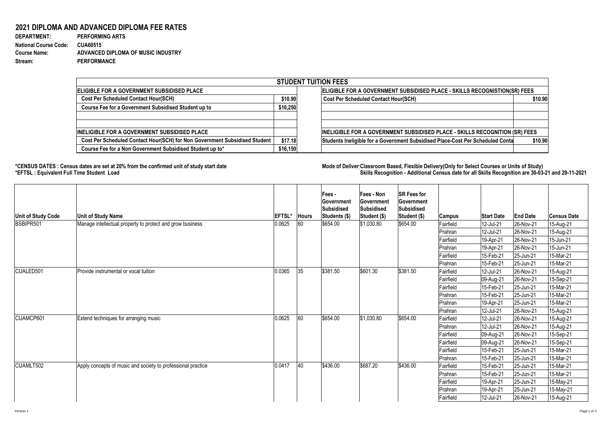## **2021 DIPLOMA AND ADVANCED DIPLOMA FEE RATES**

| <b>DEPARTMENT:</b>           | <b>PERFORMING ARTS</b>             |
|------------------------------|------------------------------------|
| <b>National Course Code:</b> | <b>CUA60515</b>                    |
| <b>Course Name:</b>          | ADVANCED DIPLOMA OF MUSIC INDUSTRY |
| <b>Stream:</b>               | <b>PERFORMANCE</b>                 |

**ELIGIBLE FOR A GOVERNMENT SUBSIDISED PLACE Cost Per Scheduled Contact Hour(SCH)** \$10.90  **Course Fee for a Government Subsidised Student up to**  $\left| \right.$  **\$10,250 INELIGIBLE FOR A GOVERNMENT SUBSIDISED PLACE Cost Per Scheduled Contact Hour(SCH) for Non Government Subsidised Student | \$17.18 Course Fee for a Non Government Subsidised Student up to\*** | \$16,150 **STUDENT** 

## \*CENSUS DATES : Census dates are set at 20% from the confirmed unit of study start date **Mode of Deliver Classroom Based, Flexible** Delivery(Only for Select Courses or Units of Study) **\*EFTSL : Equivalent Full Time Student Load Skills Recognition - Additional Census date for all Skills Recognition are 30-03-21 and 29-11-2021**

| Unit of Study Code | <b>Unit of Study Name</b>                                    | <b>EFTSL'</b> | Hours | Fees -<br>∣Government<br>Subsidised<br>Students (\$) | <b>Fees - Non</b><br><b>Sovernment</b><br>Subsidised<br>Student (\$) | <b>SR Fees for</b><br><b>Government</b><br>Subsidised<br>Student (\$) | <b>Campus</b> | <b>Start Date</b>        | <b>End Date</b> | <b>Census Date</b> |
|--------------------|--------------------------------------------------------------|---------------|-------|------------------------------------------------------|----------------------------------------------------------------------|-----------------------------------------------------------------------|---------------|--------------------------|-----------------|--------------------|
| BSBIPR501          | Manage intellectual property to protect and grow business    | 0.0625        | 60    | \$654.00                                             | \$1,030.80                                                           | \$654.00                                                              | Fairfield     | 12-Jul-21                | 26-Nov-21       | 15-Aug-21          |
|                    |                                                              |               |       |                                                      |                                                                      |                                                                       | Prahran       | 12-Jul-21                | 26-Nov-21       | 15-Aug-21          |
|                    |                                                              |               |       |                                                      |                                                                      |                                                                       | Fairfield     | 19-Apr-21                | 26-Nov-21       | 15-Jun-21          |
|                    |                                                              |               |       |                                                      |                                                                      |                                                                       | Prahran       | $19-Apr-21$              | 26-Nov-21       | 15-Jun-21          |
|                    |                                                              |               |       |                                                      |                                                                      |                                                                       | Fairfield     | 15-Feb-21                | 25-Jun-21       | 15-Mar-21          |
|                    |                                                              |               |       |                                                      |                                                                      |                                                                       | Prahran       | $ 15 - \text{Feb} - 21 $ | 25-Jun-21       | 15-Mar-21          |
| CUALED501          | Provide instrumental or vocal tuition                        | 0.0365        | 35    | \$381.50                                             | \$601.30                                                             | \$381.50                                                              | Fairfield     | 12-Jul-21                | 26-Nov-21       | 15-Aug-21          |
|                    |                                                              |               |       |                                                      |                                                                      |                                                                       | Fairfield     | 09-Aug-21                | 26-Nov-21       | 15-Sep-21          |
|                    |                                                              |               |       |                                                      |                                                                      |                                                                       | Fairfield     | 15-Feb-21                | 25-Jun-21       | 15-Mar-21          |
|                    |                                                              |               |       |                                                      |                                                                      |                                                                       | Prahran       | 15-Feb-21                | $ 25 - Jun-21 $ | 15-Mar-21          |
|                    |                                                              |               |       |                                                      |                                                                      |                                                                       | Prahran       | 19-Apr-21                | $ 25 - Jun-21 $ | 15-Mar-21          |
|                    |                                                              |               |       |                                                      |                                                                      |                                                                       | Prahran       | 12-Jul-21                | 26-Nov-21       | 15-Aug-21          |
| CUAMCP601          | <b>Extend techniques for arranging music</b>                 | 0.0625        | 60    | \$654.00                                             | \$1,030.80                                                           | \$654.00                                                              | Fairfield     | 12-Jul-21                | 26-Nov-21       | 15-Aug-21          |
|                    |                                                              |               |       |                                                      |                                                                      |                                                                       | Prahran       | 12-Jul-21                | 26-Nov-21       | 15-Aug-21          |
|                    |                                                              |               |       |                                                      |                                                                      |                                                                       | Fairfield     | 09-Aug-21                | 26-Nov-21       | 15-Sep-21          |
|                    |                                                              |               |       |                                                      |                                                                      |                                                                       | Fairfield     | 09-Aug-21                | 26-Nov-21       | 15-Sep-21          |
|                    |                                                              |               |       |                                                      |                                                                      |                                                                       | Fairfield     | 15-Feb-21                | $ 25 - Jun-21 $ | 15-Mar-21          |
|                    |                                                              |               |       |                                                      |                                                                      |                                                                       | Prahran       | 15-Feb-21                | $ 25 - Jun-21 $ | 15-Mar-21          |
| CUAMLT502          | Apply concepts of music and society to professional practice | 0.0417        | 40    | \$436.00                                             | \$687.20                                                             | \$436.00                                                              | Fairfield     | 15-Feb-21                | $ 25 - Jun-21 $ | 15-Mar-21          |
|                    |                                                              |               |       |                                                      |                                                                      |                                                                       | Prahran       | 15-Feb-21                | $ 25 - Jun-21 $ | 15-Mar-21          |
|                    |                                                              |               |       |                                                      |                                                                      |                                                                       | Fairfield     | 19-Apr-21                | $ 25 - Jun-21 $ | 15-May-21          |
|                    |                                                              |               |       |                                                      |                                                                      |                                                                       | Prahran       | 19-Apr-21                | $ 25 - Jun-21 $ | 15-May-21          |
|                    |                                                              |               |       |                                                      |                                                                      |                                                                       | Fairfield     | 12-Jul-21                | $ 26-Nov-21 $   | 15-Aug-21          |

| <b>TUITION FEES</b>                                                                |         |  |  |  |  |
|------------------------------------------------------------------------------------|---------|--|--|--|--|
| <b>ELIGIBLE FOR A GOVERNMENT SUBSIDISED PLACE - SKILLS RECOGNISTION(SR) FEES</b>   |         |  |  |  |  |
| <b>Cost Per Scheduled Contact Hour(SCH)</b>                                        |         |  |  |  |  |
|                                                                                    |         |  |  |  |  |
|                                                                                    |         |  |  |  |  |
|                                                                                    |         |  |  |  |  |
| <b>INELIGIBLE FOR A GOVERNMENT SUBSIDISED PLACE - SKILLS RECOGNITION (SR) FEES</b> |         |  |  |  |  |
| Students Ineligible for a Government Subsidised Place-Cost Per Scheduled Conta     | \$10.90 |  |  |  |  |
|                                                                                    |         |  |  |  |  |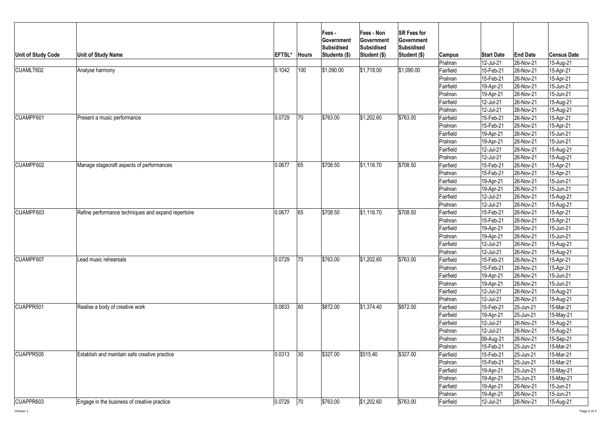| <b>Unit of Study Code</b><br>CUAMLT602 | <b>Unit of Study Name</b><br>Analyse harmony                                                        | <b>EFTSL*</b><br>0.1042 | <b>Hours</b><br>100 | Fees -<br> Government<br>Subsidised<br>Students (\$)<br>\$1,090.00 | <b>Fees - Non</b><br>Government<br>Subsidised<br>Student (\$)<br> \$1,718.00 | <b>SR Fees for</b><br><b>Government</b><br>Subsidised<br>Student (\$)<br> \$1,090.00 | <b>Campus</b><br>Prahran<br>Fairfield<br>Prahran<br>Fairfield<br>Prahran<br>Fairfield      | <b>Start Date</b><br>12-Jul-21<br>15-Feb-21<br>15-Feb-21<br>19-Apr-21<br>19-Apr-21<br>12-Jul-21 | <b>End Date</b><br>26-Nov-21<br>26-Nov-21<br>26-Nov-21<br>26-Nov-21<br>26-Nov-21<br>26-Nov-21                   | <b>Census Date</b><br>15-Aug-21<br>15-Apr-21<br>15-Apr-21<br>15-Jun-21<br>15-Jun-21<br>15-Aug-21 |
|----------------------------------------|-----------------------------------------------------------------------------------------------------|-------------------------|---------------------|--------------------------------------------------------------------|------------------------------------------------------------------------------|--------------------------------------------------------------------------------------|--------------------------------------------------------------------------------------------|-------------------------------------------------------------------------------------------------|-----------------------------------------------------------------------------------------------------------------|--------------------------------------------------------------------------------------------------|
| CUAMPF601                              | Present a music performance                                                                         | 0.0729                  | 70                  | \$763.00                                                           | \$1,202.60                                                                   | \$763.00                                                                             | Prahran<br>Fairfield<br>Prahran<br>Fairfield                                               | 12-Jul-21<br>15-Feb-21<br>15-Feb-21<br>19-Apr-21                                                | 26-Nov-21<br>26-Nov-21<br>26-Nov-21<br>26-Nov-21                                                                | 15-Aug-21<br>15-Apr-21<br>15-Apr-21<br>15-Jun-21                                                 |
| <b>CUAMPF602</b>                       | Manage stagecraft aspects of performances                                                           | 0.0677                  | 65                  | \$708.50                                                           | \$1,116.70                                                                   | \$708.50                                                                             | Prahran<br> Fairfield<br> Prahran<br>Fairfield<br>Prahran                                  | 19-Apr-21<br>12-Jul-21<br>12-Jul-21<br>15-Feb-21<br>15-Feb-21                                   | 26-Nov-21<br>$ 26-Nov-21$<br><b>26-Nov-21</b><br>$ 26-Nov-21$<br>26-Nov-21                                      | 15-Jun-21<br>15-Aug-21<br>15-Aug-21<br>$15$ -Apr-21<br>15-Apr-21                                 |
| CUAMPF603                              | Refine performance techniques and expand repertoire                                                 | 0.0677                  | 65                  | \$708.50                                                           | \$1,116.70                                                                   | \$708.50                                                                             | Fairfield<br> Prahran<br>Fairfield<br>Prahran<br>Fairfield                                 | 19-Apr-21<br>19-Apr-21<br>12-Jul-21<br>12-Jul-21<br>15-Feb-21                                   | 26-Nov-21<br><b>26-Nov-21</b><br>26-Nov-21<br>26-Nov-21<br>26-Nov-21                                            | 15-Jun-21<br>15-Jun-21<br>15-Aug-21<br>15-Aug-21<br>15-Apr-21                                    |
|                                        |                                                                                                     |                         |                     |                                                                    |                                                                              |                                                                                      | Prahran<br>Fairfield<br>Prahran<br>Fairfield<br>Prahran                                    | 15-Feb-21<br>19-Apr-21<br>19-Apr-21<br>12-Jul-21<br>12-Jul-21                                   | 26-Nov-21<br>$ 26-Nov-21$<br>26-Nov-21<br>$ 26-Nov-21$<br>26-Nov-21                                             | 15-Apr-21<br>15-Jun-21<br>15-Jun-21<br>15-Aug-21<br>15-Aug-21                                    |
| CUAMPF607                              | Lead music rehearsals                                                                               | 0.0729                  | 70                  | \$763.00                                                           | $\frac{1}{2}$ 1,202.60                                                       | \$763.00                                                                             | Fairfield<br>Prahran<br>Fairfield<br>Prahran<br>Fairfield<br>Prahran                       | 15-Feb-21<br>15-Feb-21<br>19-Apr-21<br>19-Apr-21<br>12-Jul-21<br>12-Jul-21                      | 26-Nov-21<br>26-Nov-21<br>26-Nov-21<br>26-Nov-21<br>26-Nov-21<br>26-Nov-21                                      | 15-Apr-21<br>15-Apr-21<br>15-Jun-21<br>$15$ -Jun-21<br>15-Aug-21<br>15-Aug-21                    |
| CUAPPR501                              | Realise a body of creative work                                                                     | 0.0833                  | 80                  | \$872.00                                                           | \$1,374.40                                                                   | \$872.00                                                                             | Fairfield<br>Fairfield<br>Fairfield<br>Prahran<br>Prahran<br>Prahran                       | 15-Feb-21<br>19-Apr-21<br>12-Jul-21<br>12-Jul-21<br>$ 09-Aug-21 $<br>$15$ -Feb-21               | 25-Jun-21<br>25-Jun-21<br>26-Nov-21<br>26-Nov-21<br>$ 26-Nov-21$<br>$ 25 - Jun-21 $                             | 15-Mar-21<br>15-May-21<br>15-Aug-21<br>15-Aug-21<br>15-Sep-21<br>15-Mar-21                       |
| CUAPPR505<br>CUAPPR603                 | <b>Establish and maintain safe creative practice</b><br>Engage in the business of creative practice | 0.0313<br>0.0729        | 30<br>$\boxed{70}$  | \$327.00<br>\$763.00                                               | \$515.40<br>\$1,202.60                                                       | \$327.00<br>\$763.00                                                                 | <b>IFairfield</b><br>Prahran<br>Fairfield<br> Prahran<br>Fairfield<br>Prahran<br>Fairfield | 15-Feb-21<br> 15-Feb-21<br>19-Apr-21<br>19-Apr-21<br>19-Apr-21<br>19-Apr-21<br>12-Jul-21        | $ 25 - Jun-21 $<br>$ 25 - Jun-21 $<br>$ 25 - Jun-21 $<br>$ 25 - Jun-21 $<br>26-Nov-21<br>26-Nov-21<br>26-Nov-21 | 15-Mar-21<br>15-Mar-21<br>15-May-21<br>15-May-21<br>15-Jun-21<br>15-Jun-21<br>15-Aug-21          |